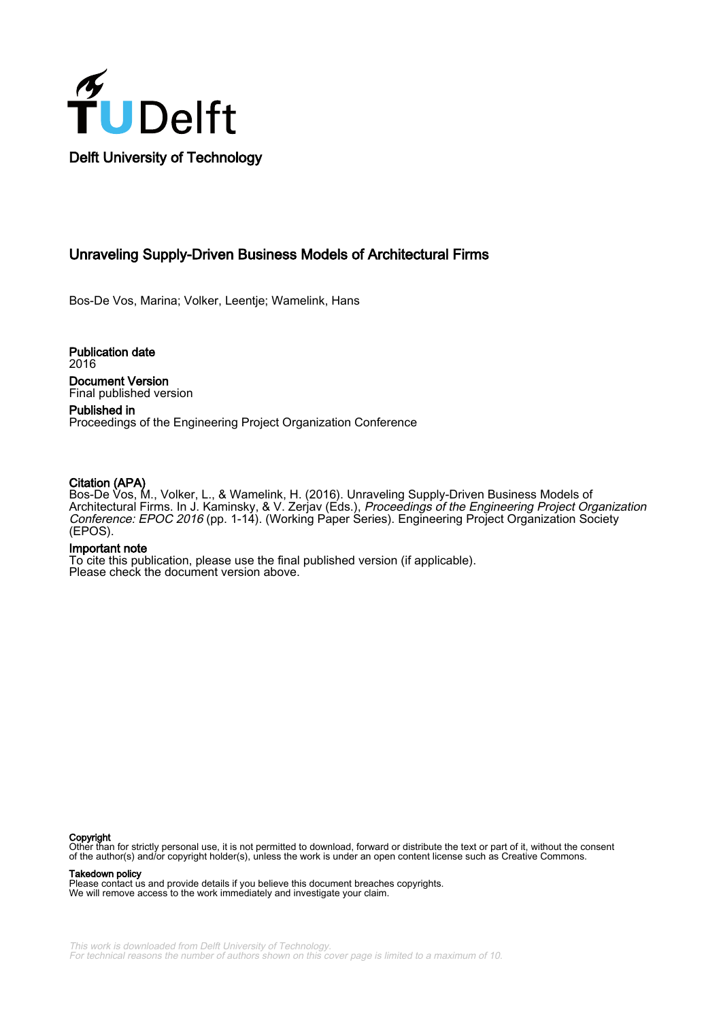

# Unraveling Supply-Driven Business Models of Architectural Firms

Bos-De Vos, Marina; Volker, Leentje; Wamelink, Hans

Publication date 2016 Document Version Final published version

Published in Proceedings of the Engineering Project Organization Conference

#### Citation (APA)

Bos-De Vos, M., Volker, L., & Wamelink, H. (2016). Unraveling Supply-Driven Business Models of Architectural Firms. In J. Kaminsky, & V. Zerjav (Eds.), Proceedings of the Engineering Project Organization Conference: EPOC 2016 (pp. 1-14). (Working Paper Series). Engineering Project Organization Society (EPOS).

#### Important note

To cite this publication, please use the final published version (if applicable). Please check the document version above.

#### Copyright

Other than for strictly personal use, it is not permitted to download, forward or distribute the text or part of it, without the consent of the author(s) and/or copyright holder(s), unless the work is under an open content license such as Creative Commons.

#### Takedown policy

Please contact us and provide details if you believe this document breaches copyrights. We will remove access to the work immediately and investigate your claim.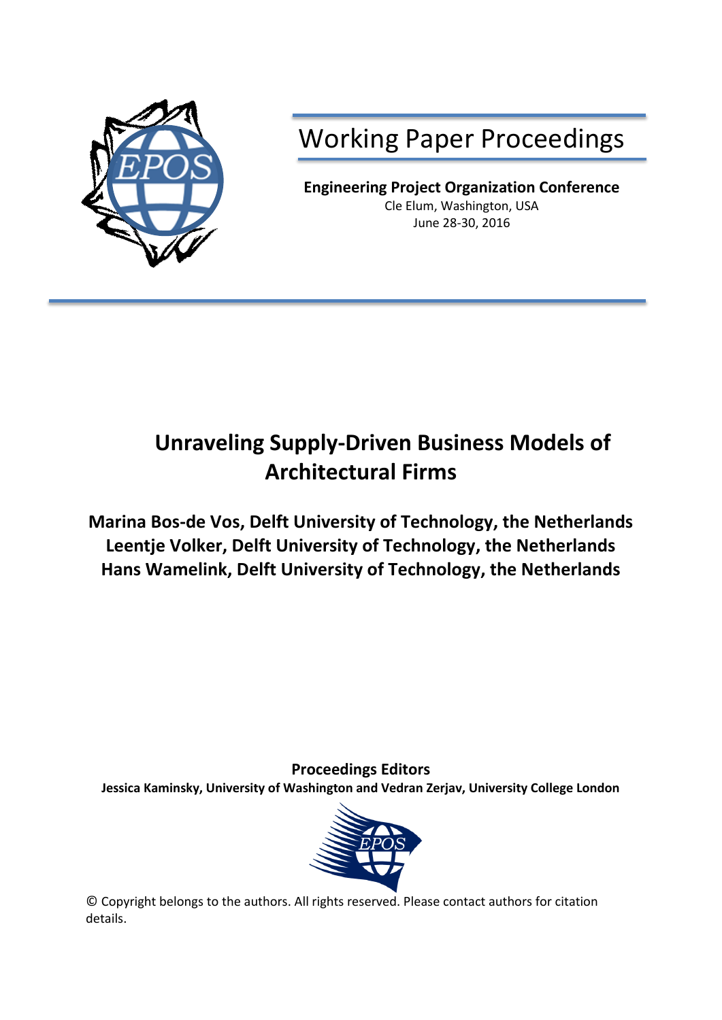

Working Paper Proceedings

**Engineering Project Organization Conference** Cle Elum, Washington, USA June 28-30, 2016

# **Unraveling Supply-Driven Business Models of Architectural Firms**

**Marina Bos-de Vos, Delft University of Technology, the Netherlands Leentje Volker, Delft University of Technology, the Netherlands Hans Wamelink, Delft University of Technology, the Netherlands**

**Proceedings Editors**

**Jessica Kaminsky, University of Washington and Vedran Zerjav, University College London**



© Copyright belongs to the authors. All rights reserved. Please contact authors for citation details.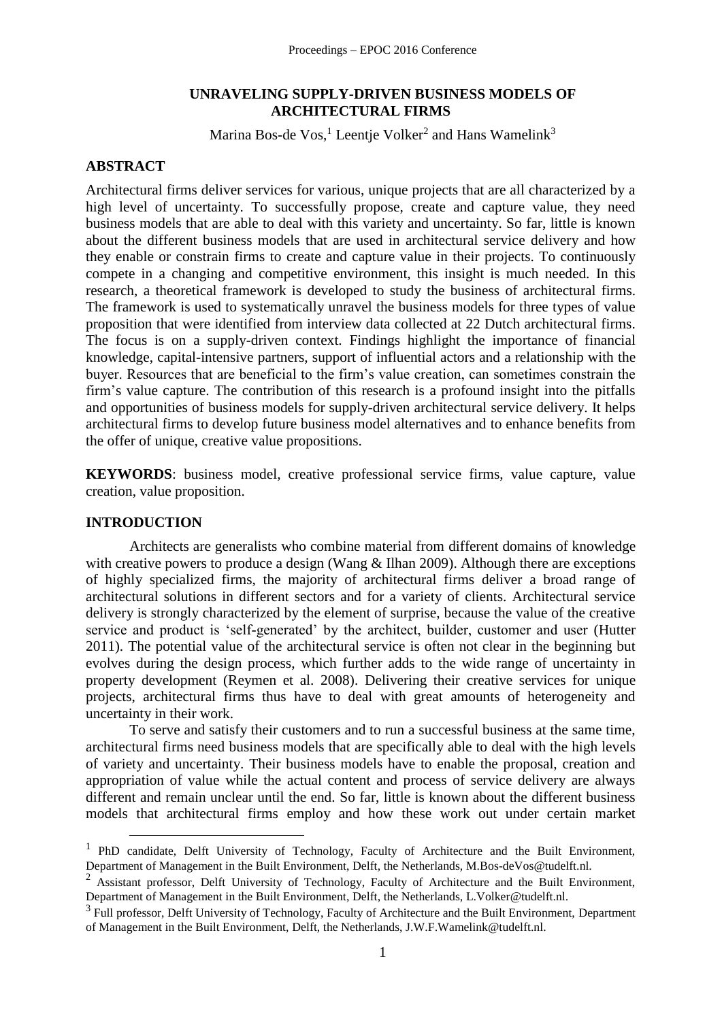# **UNRAVELING SUPPLY-DRIVEN BUSINESS MODELS OF ARCHITECTURAL FIRMS**

Marina Bos-de Vos,<sup>1</sup> Leentje Volker<sup>2</sup> and Hans Wamelink<sup>3</sup>

# **ABSTRACT**

Architectural firms deliver services for various, unique projects that are all characterized by a high level of uncertainty. To successfully propose, create and capture value, they need business models that are able to deal with this variety and uncertainty. So far, little is known about the different business models that are used in architectural service delivery and how they enable or constrain firms to create and capture value in their projects. To continuously compete in a changing and competitive environment, this insight is much needed. In this research, a theoretical framework is developed to study the business of architectural firms. The framework is used to systematically unravel the business models for three types of value proposition that were identified from interview data collected at 22 Dutch architectural firms. The focus is on a supply-driven context. Findings highlight the importance of financial knowledge, capital-intensive partners, support of influential actors and a relationship with the buyer. Resources that are beneficial to the firm's value creation, can sometimes constrain the firm's value capture. The contribution of this research is a profound insight into the pitfalls and opportunities of business models for supply-driven architectural service delivery. It helps architectural firms to develop future business model alternatives and to enhance benefits from the offer of unique, creative value propositions.

**KEYWORDS**: business model, creative professional service firms, value capture, value creation, value proposition.

# **INTRODUCTION**

<u>.</u>

Architects are generalists who combine material from different domains of knowledge with creative powers to produce a design (Wang & Ilhan 2009). Although there are exceptions of highly specialized firms, the majority of architectural firms deliver a broad range of architectural solutions in different sectors and for a variety of clients. Architectural service delivery is strongly characterized by the element of surprise, because the value of the creative service and product is 'self-generated' by the architect, builder, customer and user (Hutter 2011). The potential value of the architectural service is often not clear in the beginning but evolves during the design process, which further adds to the wide range of uncertainty in property development (Reymen et al. 2008). Delivering their creative services for unique projects, architectural firms thus have to deal with great amounts of heterogeneity and uncertainty in their work.

To serve and satisfy their customers and to run a successful business at the same time, architectural firms need business models that are specifically able to deal with the high levels of variety and uncertainty. Their business models have to enable the proposal, creation and appropriation of value while the actual content and process of service delivery are always different and remain unclear until the end. So far, little is known about the different business models that architectural firms employ and how these work out under certain market

<sup>&</sup>lt;sup>1</sup> PhD candidate, Delft University of Technology, Faculty of Architecture and the Built Environment, Department of Management in the Built Environment, Delft, the Netherlands, M.Bos-deVos@tudelft.nl.

<sup>&</sup>lt;sup>2</sup> Assistant professor, Delft University of Technology, Faculty of Architecture and the Built Environment, Department of Management in the Built Environment, Delft, the Netherlands, L.Volker@tudelft.nl.

 $3$  Full professor, Delft University of Technology, Faculty of Architecture and the Built Environment, Department of Management in the Built Environment, Delft, the Netherlands, J.W.F.Wamelink@tudelft.nl.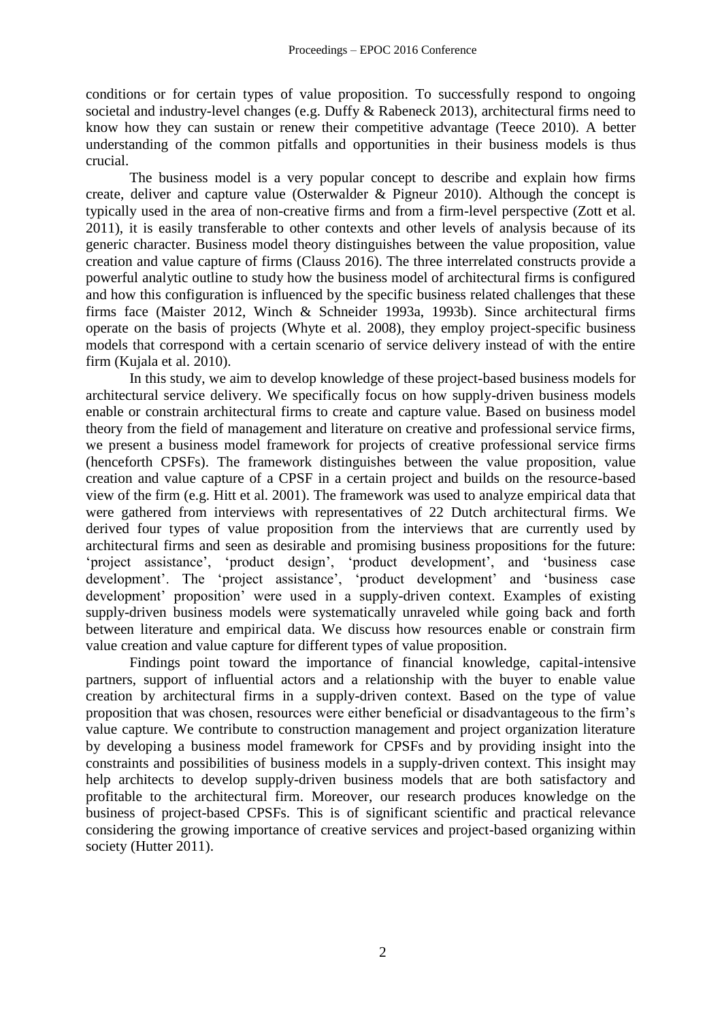conditions or for certain types of value proposition. To successfully respond to ongoing societal and industry-level changes (e.g. Duffy & Rabeneck 2013), architectural firms need to know how they can sustain or renew their competitive advantage (Teece 2010). A better understanding of the common pitfalls and opportunities in their business models is thus crucial.

The business model is a very popular concept to describe and explain how firms create, deliver and capture value (Osterwalder & Pigneur 2010). Although the concept is typically used in the area of non-creative firms and from a firm-level perspective (Zott et al. 2011), it is easily transferable to other contexts and other levels of analysis because of its generic character. Business model theory distinguishes between the value proposition, value creation and value capture of firms (Clauss 2016). The three interrelated constructs provide a powerful analytic outline to study how the business model of architectural firms is configured and how this configuration is influenced by the specific business related challenges that these firms face (Maister 2012, Winch & Schneider 1993a, 1993b). Since architectural firms operate on the basis of projects (Whyte et al. 2008), they employ project-specific business models that correspond with a certain scenario of service delivery instead of with the entire firm (Kujala et al. 2010).

In this study, we aim to develop knowledge of these project-based business models for architectural service delivery. We specifically focus on how supply-driven business models enable or constrain architectural firms to create and capture value. Based on business model theory from the field of management and literature on creative and professional service firms, we present a business model framework for projects of creative professional service firms (henceforth CPSFs). The framework distinguishes between the value proposition, value creation and value capture of a CPSF in a certain project and builds on the resource-based view of the firm (e.g. Hitt et al. 2001). The framework was used to analyze empirical data that were gathered from interviews with representatives of 22 Dutch architectural firms. We derived four types of value proposition from the interviews that are currently used by architectural firms and seen as desirable and promising business propositions for the future: 'project assistance', 'product design', 'product development', and 'business case development'. The 'project assistance', 'product development' and 'business case development' proposition' were used in a supply-driven context. Examples of existing supply-driven business models were systematically unraveled while going back and forth between literature and empirical data. We discuss how resources enable or constrain firm value creation and value capture for different types of value proposition.

Findings point toward the importance of financial knowledge, capital-intensive partners, support of influential actors and a relationship with the buyer to enable value creation by architectural firms in a supply-driven context. Based on the type of value proposition that was chosen, resources were either beneficial or disadvantageous to the firm's value capture. We contribute to construction management and project organization literature by developing a business model framework for CPSFs and by providing insight into the constraints and possibilities of business models in a supply-driven context. This insight may help architects to develop supply-driven business models that are both satisfactory and profitable to the architectural firm. Moreover, our research produces knowledge on the business of project-based CPSFs. This is of significant scientific and practical relevance considering the growing importance of creative services and project-based organizing within society (Hutter 2011).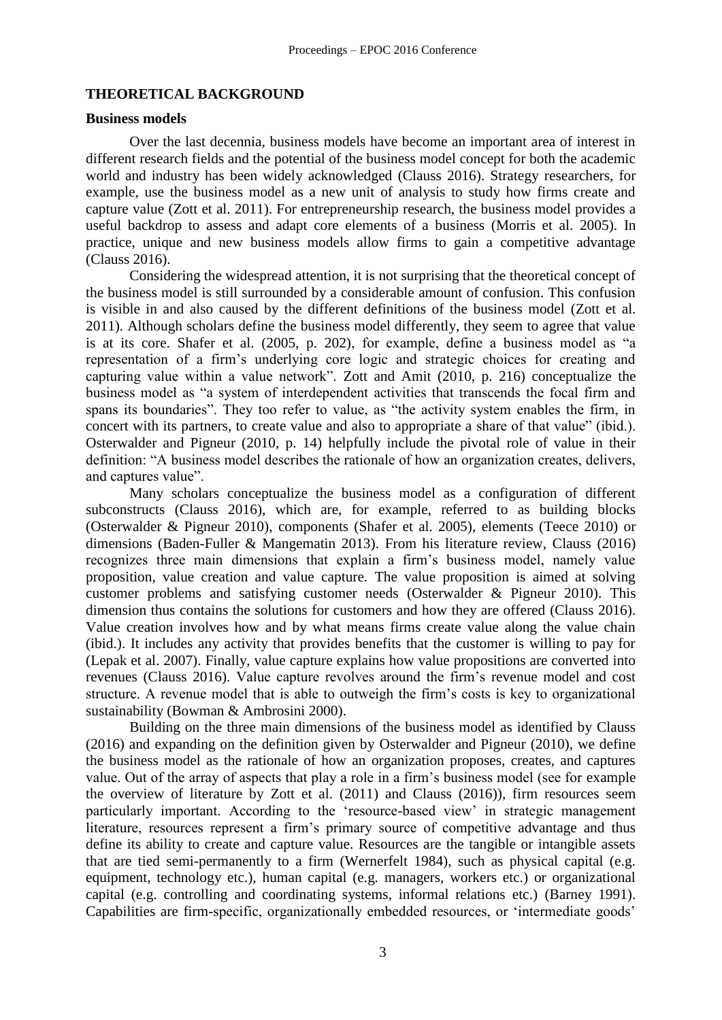#### **THEORETICAL BACKGROUND**

#### **Business models**

Over the last decennia, business models have become an important area of interest in different research fields and the potential of the business model concept for both the academic world and industry has been widely acknowledged (Clauss 2016). Strategy researchers, for example, use the business model as a new unit of analysis to study how firms create and capture value (Zott et al. 2011). For entrepreneurship research, the business model provides a useful backdrop to assess and adapt core elements of a business (Morris et al. 2005). In practice, unique and new business models allow firms to gain a competitive advantage (Clauss 2016).

Considering the widespread attention, it is not surprising that the theoretical concept of the business model is still surrounded by a considerable amount of confusion. This confusion is visible in and also caused by the different definitions of the business model (Zott et al. 2011). Although scholars define the business model differently, they seem to agree that value is at its core. Shafer et al. (2005, p. 202), for example, define a business model as "a representation of a firm's underlying core logic and strategic choices for creating and capturing value within a value network". Zott and Amit (2010, p. 216) conceptualize the business model as "a system of interdependent activities that transcends the focal firm and spans its boundaries". They too refer to value, as "the activity system enables the firm, in concert with its partners, to create value and also to appropriate a share of that value" (ibid.). Osterwalder and Pigneur (2010, p. 14) helpfully include the pivotal role of value in their definition: "A business model describes the rationale of how an organization creates, delivers, and captures value".

Many scholars conceptualize the business model as a configuration of different subconstructs (Clauss 2016), which are, for example, referred to as building blocks (Osterwalder & Pigneur 2010), components (Shafer et al. 2005), elements (Teece 2010) or dimensions (Baden-Fuller & Mangematin 2013). From his literature review, Clauss (2016) recognizes three main dimensions that explain a firm's business model, namely value proposition, value creation and value capture. The value proposition is aimed at solving customer problems and satisfying customer needs (Osterwalder & Pigneur 2010). This dimension thus contains the solutions for customers and how they are offered (Clauss 2016). Value creation involves how and by what means firms create value along the value chain (ibid.). It includes any activity that provides benefits that the customer is willing to pay for (Lepak et al. 2007). Finally, value capture explains how value propositions are converted into revenues (Clauss 2016). Value capture revolves around the firm's revenue model and cost structure. A revenue model that is able to outweigh the firm's costs is key to organizational sustainability (Bowman & Ambrosini 2000).

Building on the three main dimensions of the business model as identified by Clauss (2016) and expanding on the definition given by Osterwalder and Pigneur (2010), we define the business model as the rationale of how an organization proposes, creates, and captures value. Out of the array of aspects that play a role in a firm's business model (see for example the overview of literature by Zott et al. (2011) and Clauss (2016)), firm resources seem particularly important. According to the 'resource-based view' in strategic management literature, resources represent a firm's primary source of competitive advantage and thus define its ability to create and capture value. Resources are the tangible or intangible assets that are tied semi-permanently to a firm (Wernerfelt 1984), such as physical capital (e.g. equipment, technology etc.), human capital (e.g. managers, workers etc.) or organizational capital (e.g. controlling and coordinating systems, informal relations etc.) (Barney 1991). Capabilities are firm-specific, organizationally embedded resources, or 'intermediate goods'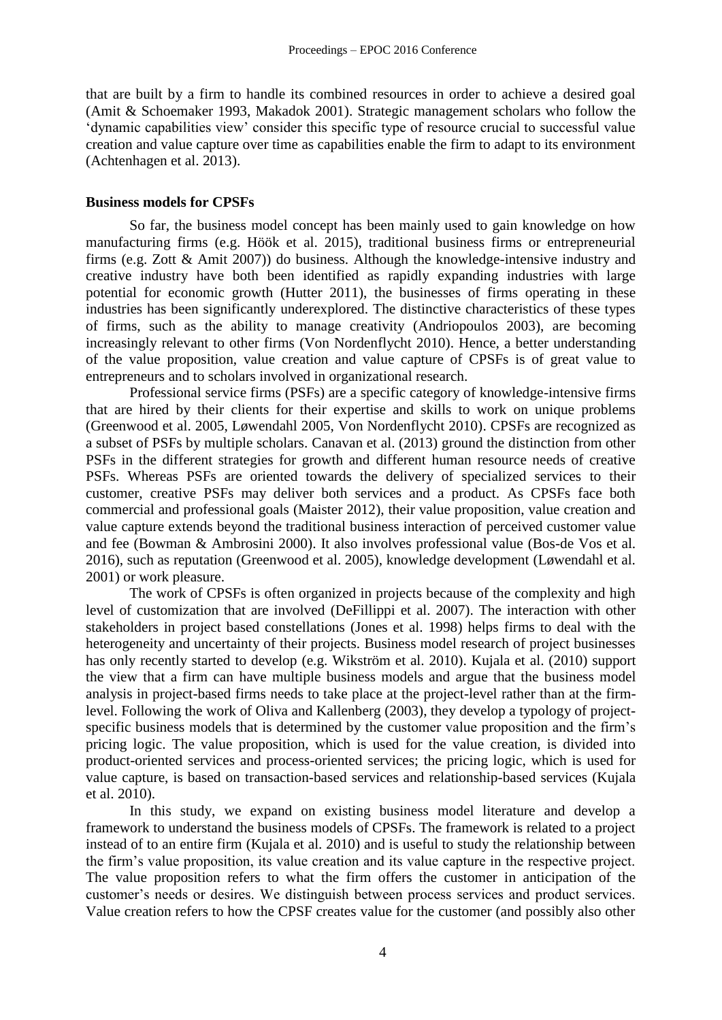that are built by a firm to handle its combined resources in order to achieve a desired goal (Amit & Schoemaker 1993, Makadok 2001). Strategic management scholars who follow the 'dynamic capabilities view' consider this specific type of resource crucial to successful value creation and value capture over time as capabilities enable the firm to adapt to its environment (Achtenhagen et al. 2013).

#### **Business models for CPSFs**

So far, the business model concept has been mainly used to gain knowledge on how manufacturing firms (e.g. Höök et al. 2015), traditional business firms or entrepreneurial firms (e.g. Zott & Amit 2007)) do business. Although the knowledge-intensive industry and creative industry have both been identified as rapidly expanding industries with large potential for economic growth (Hutter 2011), the businesses of firms operating in these industries has been significantly underexplored. The distinctive characteristics of these types of firms, such as the ability to manage creativity (Andriopoulos 2003), are becoming increasingly relevant to other firms (Von Nordenflycht 2010). Hence, a better understanding of the value proposition, value creation and value capture of CPSFs is of great value to entrepreneurs and to scholars involved in organizational research.

Professional service firms (PSFs) are a specific category of knowledge-intensive firms that are hired by their clients for their expertise and skills to work on unique problems (Greenwood et al. 2005, Løwendahl 2005, Von Nordenflycht 2010). CPSFs are recognized as a subset of PSFs by multiple scholars. Canavan et al. (2013) ground the distinction from other PSFs in the different strategies for growth and different human resource needs of creative PSFs. Whereas PSFs are oriented towards the delivery of specialized services to their customer, creative PSFs may deliver both services and a product. As CPSFs face both commercial and professional goals (Maister 2012), their value proposition, value creation and value capture extends beyond the traditional business interaction of perceived customer value and fee (Bowman & Ambrosini 2000). It also involves professional value (Bos-de Vos et al. 2016), such as reputation (Greenwood et al. 2005), knowledge development (Løwendahl et al. 2001) or work pleasure.

The work of CPSFs is often organized in projects because of the complexity and high level of customization that are involved (DeFillippi et al. 2007). The interaction with other stakeholders in project based constellations (Jones et al. 1998) helps firms to deal with the heterogeneity and uncertainty of their projects. Business model research of project businesses has only recently started to develop (e.g. Wikström et al. 2010). Kujala et al. (2010) support the view that a firm can have multiple business models and argue that the business model analysis in project-based firms needs to take place at the project-level rather than at the firmlevel. Following the work of Oliva and Kallenberg (2003), they develop a typology of projectspecific business models that is determined by the customer value proposition and the firm's pricing logic. The value proposition, which is used for the value creation, is divided into product-oriented services and process-oriented services; the pricing logic, which is used for value capture, is based on transaction-based services and relationship-based services (Kujala et al. 2010).

In this study, we expand on existing business model literature and develop a framework to understand the business models of CPSFs. The framework is related to a project instead of to an entire firm (Kujala et al. 2010) and is useful to study the relationship between the firm's value proposition, its value creation and its value capture in the respective project. The value proposition refers to what the firm offers the customer in anticipation of the customer's needs or desires. We distinguish between process services and product services. Value creation refers to how the CPSF creates value for the customer (and possibly also other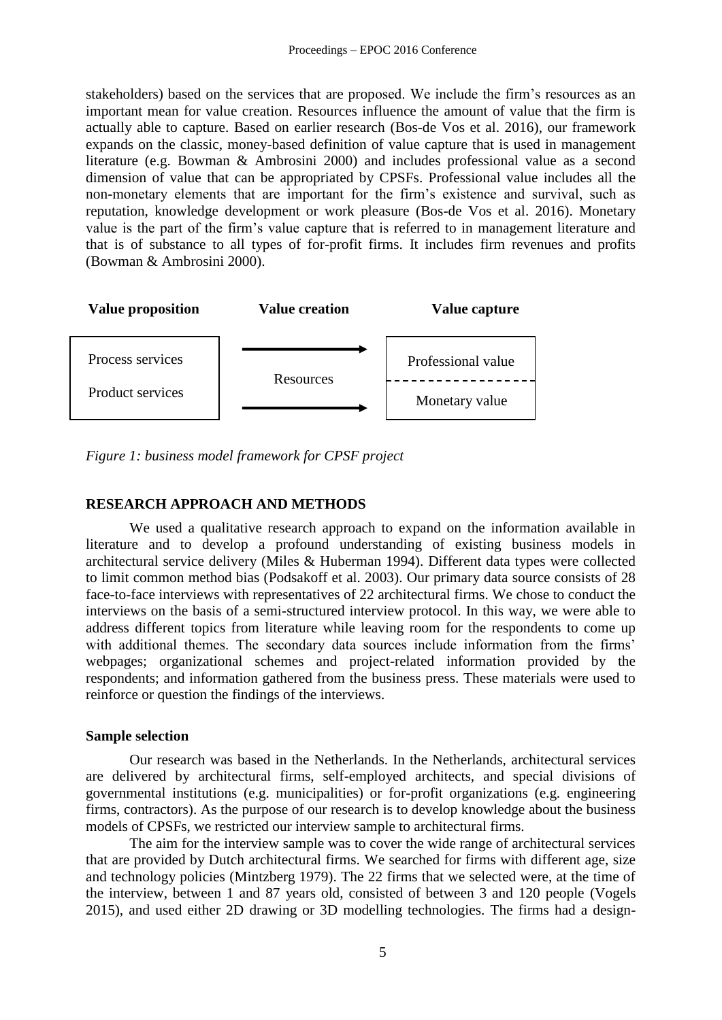stakeholders) based on the services that are proposed. We include the firm's resources as an important mean for value creation. Resources influence the amount of value that the firm is actually able to capture. Based on earlier research (Bos-de Vos et al. 2016), our framework expands on the classic, money-based definition of value capture that is used in management literature (e.g. Bowman & Ambrosini 2000) and includes professional value as a second dimension of value that can be appropriated by CPSFs. Professional value includes all the non-monetary elements that are important for the firm's existence and survival, such as reputation, knowledge development or work pleasure (Bos-de Vos et al. 2016). Monetary value is the part of the firm's value capture that is referred to in management literature and that is of substance to all types of for-profit firms. It includes firm revenues and profits (Bowman & Ambrosini 2000).



*Figure 1: business model framework for CPSF project*

# **RESEARCH APPROACH AND METHODS**

We used a qualitative research approach to expand on the information available in literature and to develop a profound understanding of existing business models in architectural service delivery (Miles & Huberman 1994). Different data types were collected to limit common method bias (Podsakoff et al. 2003). Our primary data source consists of 28 face-to-face interviews with representatives of 22 architectural firms. We chose to conduct the interviews on the basis of a semi-structured interview protocol. In this way, we were able to address different topics from literature while leaving room for the respondents to come up with additional themes. The secondary data sources include information from the firms' webpages; organizational schemes and project-related information provided by the respondents; and information gathered from the business press. These materials were used to reinforce or question the findings of the interviews.

#### **Sample selection**

Our research was based in the Netherlands. In the Netherlands, architectural services are delivered by architectural firms, self-employed architects, and special divisions of governmental institutions (e.g. municipalities) or for-profit organizations (e.g. engineering firms, contractors). As the purpose of our research is to develop knowledge about the business models of CPSFs, we restricted our interview sample to architectural firms.

The aim for the interview sample was to cover the wide range of architectural services that are provided by Dutch architectural firms. We searched for firms with different age, size and technology policies (Mintzberg 1979). The 22 firms that we selected were, at the time of the interview, between 1 and 87 years old, consisted of between 3 and 120 people (Vogels 2015), and used either 2D drawing or 3D modelling technologies. The firms had a design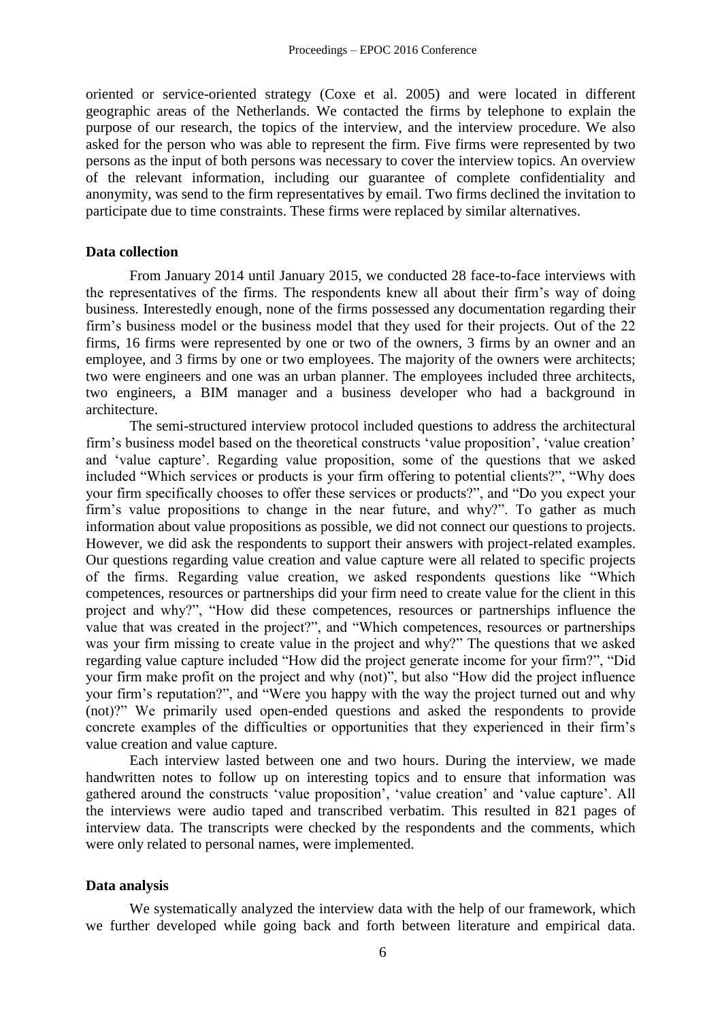oriented or service-oriented strategy (Coxe et al. 2005) and were located in different geographic areas of the Netherlands. We contacted the firms by telephone to explain the purpose of our research, the topics of the interview, and the interview procedure. We also asked for the person who was able to represent the firm. Five firms were represented by two persons as the input of both persons was necessary to cover the interview topics. An overview of the relevant information, including our guarantee of complete confidentiality and anonymity, was send to the firm representatives by email. Two firms declined the invitation to participate due to time constraints. These firms were replaced by similar alternatives.

#### **Data collection**

From January 2014 until January 2015, we conducted 28 face-to-face interviews with the representatives of the firms. The respondents knew all about their firm's way of doing business. Interestedly enough, none of the firms possessed any documentation regarding their firm's business model or the business model that they used for their projects. Out of the 22 firms, 16 firms were represented by one or two of the owners, 3 firms by an owner and an employee, and 3 firms by one or two employees. The majority of the owners were architects; two were engineers and one was an urban planner. The employees included three architects, two engineers, a BIM manager and a business developer who had a background in architecture.

The semi-structured interview protocol included questions to address the architectural firm's business model based on the theoretical constructs 'value proposition', 'value creation' and 'value capture'. Regarding value proposition, some of the questions that we asked included "Which services or products is your firm offering to potential clients?", "Why does your firm specifically chooses to offer these services or products?", and "Do you expect your firm's value propositions to change in the near future, and why?". To gather as much information about value propositions as possible, we did not connect our questions to projects. However, we did ask the respondents to support their answers with project-related examples. Our questions regarding value creation and value capture were all related to specific projects of the firms. Regarding value creation, we asked respondents questions like "Which competences, resources or partnerships did your firm need to create value for the client in this project and why?", "How did these competences, resources or partnerships influence the value that was created in the project?", and "Which competences, resources or partnerships was your firm missing to create value in the project and why?" The questions that we asked regarding value capture included "How did the project generate income for your firm?", "Did your firm make profit on the project and why (not)", but also "How did the project influence your firm's reputation?", and "Were you happy with the way the project turned out and why (not)?" We primarily used open-ended questions and asked the respondents to provide concrete examples of the difficulties or opportunities that they experienced in their firm's value creation and value capture.

Each interview lasted between one and two hours. During the interview, we made handwritten notes to follow up on interesting topics and to ensure that information was gathered around the constructs 'value proposition', 'value creation' and 'value capture'. All the interviews were audio taped and transcribed verbatim. This resulted in 821 pages of interview data. The transcripts were checked by the respondents and the comments, which were only related to personal names, were implemented.

#### **Data analysis**

We systematically analyzed the interview data with the help of our framework, which we further developed while going back and forth between literature and empirical data.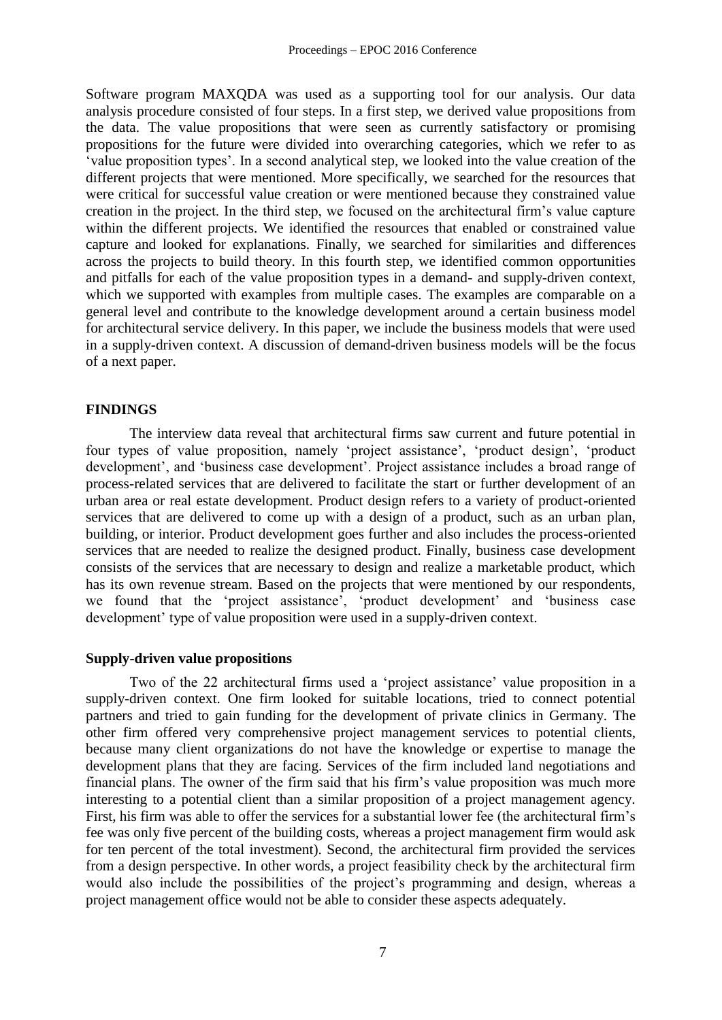Software program MAXQDA was used as a supporting tool for our analysis. Our data analysis procedure consisted of four steps. In a first step, we derived value propositions from the data. The value propositions that were seen as currently satisfactory or promising propositions for the future were divided into overarching categories, which we refer to as 'value proposition types'. In a second analytical step, we looked into the value creation of the different projects that were mentioned. More specifically, we searched for the resources that were critical for successful value creation or were mentioned because they constrained value creation in the project. In the third step, we focused on the architectural firm's value capture within the different projects. We identified the resources that enabled or constrained value capture and looked for explanations. Finally, we searched for similarities and differences across the projects to build theory. In this fourth step, we identified common opportunities and pitfalls for each of the value proposition types in a demand- and supply-driven context, which we supported with examples from multiple cases. The examples are comparable on a general level and contribute to the knowledge development around a certain business model for architectural service delivery. In this paper, we include the business models that were used in a supply-driven context. A discussion of demand-driven business models will be the focus of a next paper.

# **FINDINGS**

The interview data reveal that architectural firms saw current and future potential in four types of value proposition, namely 'project assistance', 'product design', 'product development', and 'business case development'. Project assistance includes a broad range of process-related services that are delivered to facilitate the start or further development of an urban area or real estate development. Product design refers to a variety of product-oriented services that are delivered to come up with a design of a product, such as an urban plan, building, or interior. Product development goes further and also includes the process-oriented services that are needed to realize the designed product. Finally, business case development consists of the services that are necessary to design and realize a marketable product, which has its own revenue stream. Based on the projects that were mentioned by our respondents, we found that the 'project assistance', 'product development' and 'business case development' type of value proposition were used in a supply-driven context.

# **Supply-driven value propositions**

Two of the 22 architectural firms used a 'project assistance' value proposition in a supply-driven context. One firm looked for suitable locations, tried to connect potential partners and tried to gain funding for the development of private clinics in Germany. The other firm offered very comprehensive project management services to potential clients, because many client organizations do not have the knowledge or expertise to manage the development plans that they are facing. Services of the firm included land negotiations and financial plans. The owner of the firm said that his firm's value proposition was much more interesting to a potential client than a similar proposition of a project management agency. First, his firm was able to offer the services for a substantial lower fee (the architectural firm's fee was only five percent of the building costs, whereas a project management firm would ask for ten percent of the total investment). Second, the architectural firm provided the services from a design perspective. In other words, a project feasibility check by the architectural firm would also include the possibilities of the project's programming and design, whereas a project management office would not be able to consider these aspects adequately.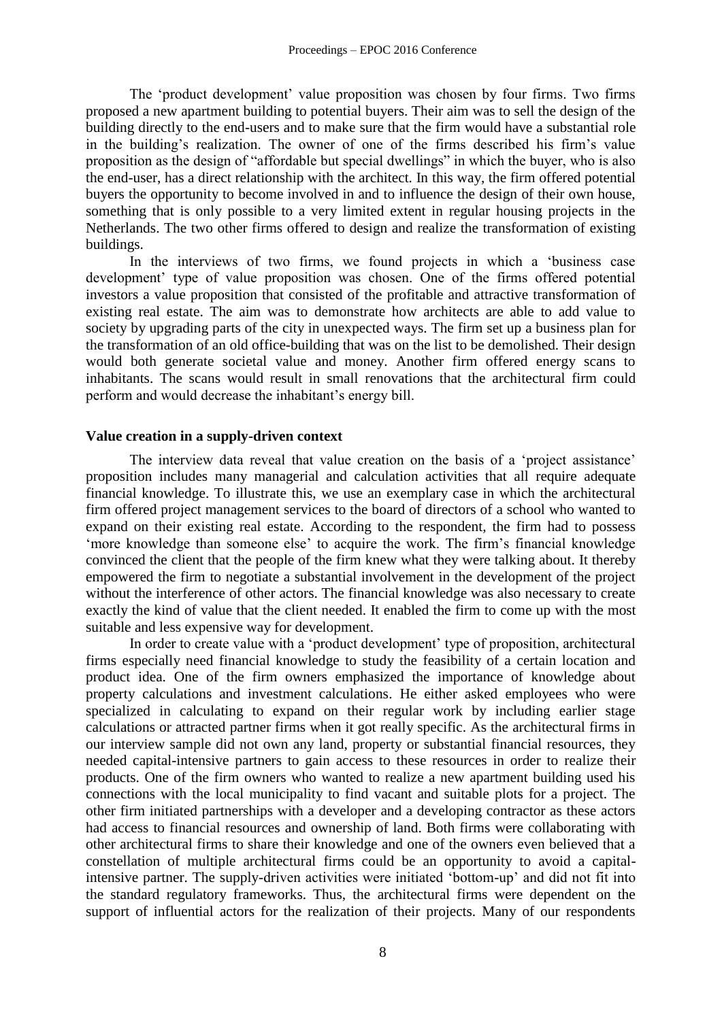The 'product development' value proposition was chosen by four firms. Two firms proposed a new apartment building to potential buyers. Their aim was to sell the design of the building directly to the end-users and to make sure that the firm would have a substantial role in the building's realization. The owner of one of the firms described his firm's value proposition as the design of "affordable but special dwellings" in which the buyer, who is also the end-user, has a direct relationship with the architect. In this way, the firm offered potential buyers the opportunity to become involved in and to influence the design of their own house, something that is only possible to a very limited extent in regular housing projects in the Netherlands. The two other firms offered to design and realize the transformation of existing buildings.

In the interviews of two firms, we found projects in which a 'business case development' type of value proposition was chosen. One of the firms offered potential investors a value proposition that consisted of the profitable and attractive transformation of existing real estate. The aim was to demonstrate how architects are able to add value to society by upgrading parts of the city in unexpected ways. The firm set up a business plan for the transformation of an old office-building that was on the list to be demolished. Their design would both generate societal value and money. Another firm offered energy scans to inhabitants. The scans would result in small renovations that the architectural firm could perform and would decrease the inhabitant's energy bill.

# **Value creation in a supply-driven context**

The interview data reveal that value creation on the basis of a 'project assistance' proposition includes many managerial and calculation activities that all require adequate financial knowledge. To illustrate this, we use an exemplary case in which the architectural firm offered project management services to the board of directors of a school who wanted to expand on their existing real estate. According to the respondent, the firm had to possess 'more knowledge than someone else' to acquire the work. The firm's financial knowledge convinced the client that the people of the firm knew what they were talking about. It thereby empowered the firm to negotiate a substantial involvement in the development of the project without the interference of other actors. The financial knowledge was also necessary to create exactly the kind of value that the client needed. It enabled the firm to come up with the most suitable and less expensive way for development.

In order to create value with a 'product development' type of proposition, architectural firms especially need financial knowledge to study the feasibility of a certain location and product idea. One of the firm owners emphasized the importance of knowledge about property calculations and investment calculations. He either asked employees who were specialized in calculating to expand on their regular work by including earlier stage calculations or attracted partner firms when it got really specific. As the architectural firms in our interview sample did not own any land, property or substantial financial resources, they needed capital-intensive partners to gain access to these resources in order to realize their products. One of the firm owners who wanted to realize a new apartment building used his connections with the local municipality to find vacant and suitable plots for a project. The other firm initiated partnerships with a developer and a developing contractor as these actors had access to financial resources and ownership of land. Both firms were collaborating with other architectural firms to share their knowledge and one of the owners even believed that a constellation of multiple architectural firms could be an opportunity to avoid a capitalintensive partner. The supply-driven activities were initiated 'bottom-up' and did not fit into the standard regulatory frameworks. Thus, the architectural firms were dependent on the support of influential actors for the realization of their projects. Many of our respondents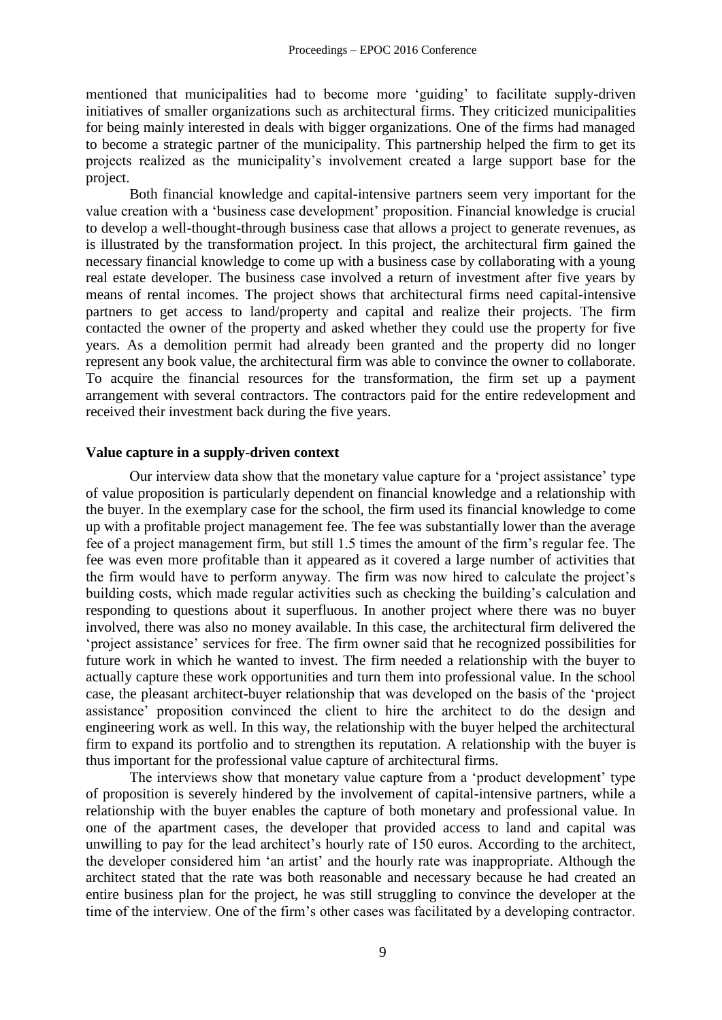mentioned that municipalities had to become more 'guiding' to facilitate supply-driven initiatives of smaller organizations such as architectural firms. They criticized municipalities for being mainly interested in deals with bigger organizations. One of the firms had managed to become a strategic partner of the municipality. This partnership helped the firm to get its projects realized as the municipality's involvement created a large support base for the project.

Both financial knowledge and capital-intensive partners seem very important for the value creation with a 'business case development' proposition. Financial knowledge is crucial to develop a well-thought-through business case that allows a project to generate revenues, as is illustrated by the transformation project. In this project, the architectural firm gained the necessary financial knowledge to come up with a business case by collaborating with a young real estate developer. The business case involved a return of investment after five years by means of rental incomes. The project shows that architectural firms need capital-intensive partners to get access to land/property and capital and realize their projects. The firm contacted the owner of the property and asked whether they could use the property for five years. As a demolition permit had already been granted and the property did no longer represent any book value, the architectural firm was able to convince the owner to collaborate. To acquire the financial resources for the transformation, the firm set up a payment arrangement with several contractors. The contractors paid for the entire redevelopment and received their investment back during the five years.

#### **Value capture in a supply-driven context**

Our interview data show that the monetary value capture for a 'project assistance' type of value proposition is particularly dependent on financial knowledge and a relationship with the buyer. In the exemplary case for the school, the firm used its financial knowledge to come up with a profitable project management fee. The fee was substantially lower than the average fee of a project management firm, but still 1.5 times the amount of the firm's regular fee. The fee was even more profitable than it appeared as it covered a large number of activities that the firm would have to perform anyway. The firm was now hired to calculate the project's building costs, which made regular activities such as checking the building's calculation and responding to questions about it superfluous. In another project where there was no buyer involved, there was also no money available. In this case, the architectural firm delivered the 'project assistance' services for free. The firm owner said that he recognized possibilities for future work in which he wanted to invest. The firm needed a relationship with the buyer to actually capture these work opportunities and turn them into professional value. In the school case, the pleasant architect-buyer relationship that was developed on the basis of the 'project assistance' proposition convinced the client to hire the architect to do the design and engineering work as well. In this way, the relationship with the buyer helped the architectural firm to expand its portfolio and to strengthen its reputation. A relationship with the buyer is thus important for the professional value capture of architectural firms.

The interviews show that monetary value capture from a 'product development' type of proposition is severely hindered by the involvement of capital-intensive partners, while a relationship with the buyer enables the capture of both monetary and professional value. In one of the apartment cases, the developer that provided access to land and capital was unwilling to pay for the lead architect's hourly rate of 150 euros. According to the architect, the developer considered him 'an artist' and the hourly rate was inappropriate. Although the architect stated that the rate was both reasonable and necessary because he had created an entire business plan for the project, he was still struggling to convince the developer at the time of the interview. One of the firm's other cases was facilitated by a developing contractor.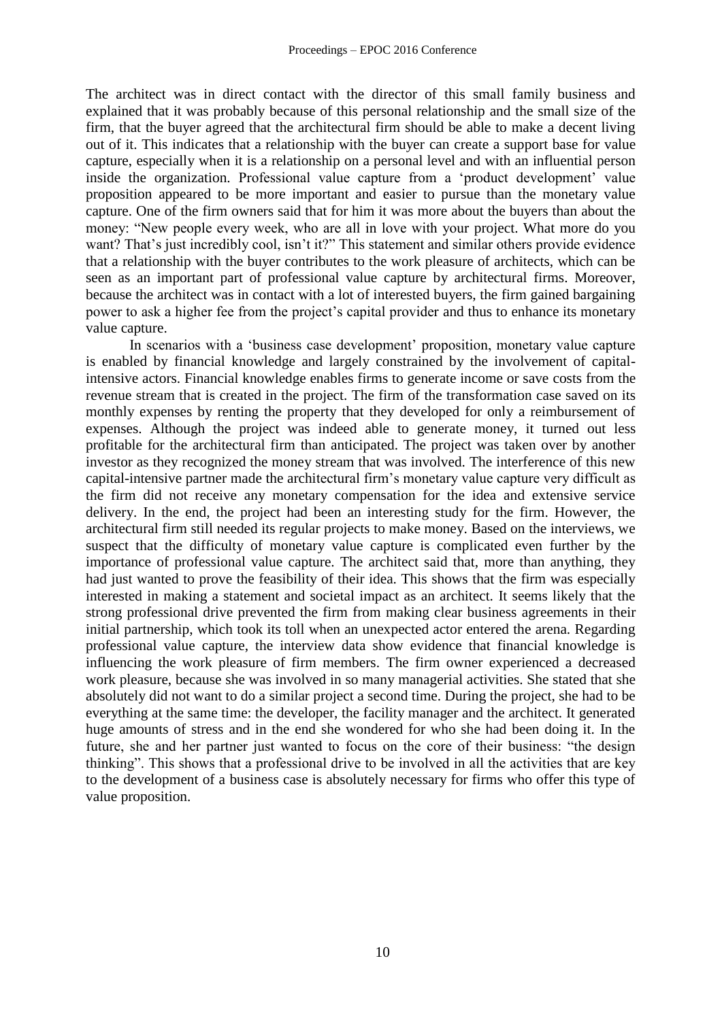The architect was in direct contact with the director of this small family business and explained that it was probably because of this personal relationship and the small size of the firm, that the buyer agreed that the architectural firm should be able to make a decent living out of it. This indicates that a relationship with the buyer can create a support base for value capture, especially when it is a relationship on a personal level and with an influential person inside the organization. Professional value capture from a 'product development' value proposition appeared to be more important and easier to pursue than the monetary value capture. One of the firm owners said that for him it was more about the buyers than about the money: "New people every week, who are all in love with your project. What more do you want? That's just incredibly cool, isn't it?" This statement and similar others provide evidence that a relationship with the buyer contributes to the work pleasure of architects, which can be seen as an important part of professional value capture by architectural firms. Moreover, because the architect was in contact with a lot of interested buyers, the firm gained bargaining power to ask a higher fee from the project's capital provider and thus to enhance its monetary value capture.

In scenarios with a 'business case development' proposition, monetary value capture is enabled by financial knowledge and largely constrained by the involvement of capitalintensive actors. Financial knowledge enables firms to generate income or save costs from the revenue stream that is created in the project. The firm of the transformation case saved on its monthly expenses by renting the property that they developed for only a reimbursement of expenses. Although the project was indeed able to generate money, it turned out less profitable for the architectural firm than anticipated. The project was taken over by another investor as they recognized the money stream that was involved. The interference of this new capital-intensive partner made the architectural firm's monetary value capture very difficult as the firm did not receive any monetary compensation for the idea and extensive service delivery. In the end, the project had been an interesting study for the firm. However, the architectural firm still needed its regular projects to make money. Based on the interviews, we suspect that the difficulty of monetary value capture is complicated even further by the importance of professional value capture. The architect said that, more than anything, they had just wanted to prove the feasibility of their idea. This shows that the firm was especially interested in making a statement and societal impact as an architect. It seems likely that the strong professional drive prevented the firm from making clear business agreements in their initial partnership, which took its toll when an unexpected actor entered the arena. Regarding professional value capture, the interview data show evidence that financial knowledge is influencing the work pleasure of firm members. The firm owner experienced a decreased work pleasure, because she was involved in so many managerial activities. She stated that she absolutely did not want to do a similar project a second time. During the project, she had to be everything at the same time: the developer, the facility manager and the architect. It generated huge amounts of stress and in the end she wondered for who she had been doing it. In the future, she and her partner just wanted to focus on the core of their business: "the design thinking". This shows that a professional drive to be involved in all the activities that are key to the development of a business case is absolutely necessary for firms who offer this type of value proposition.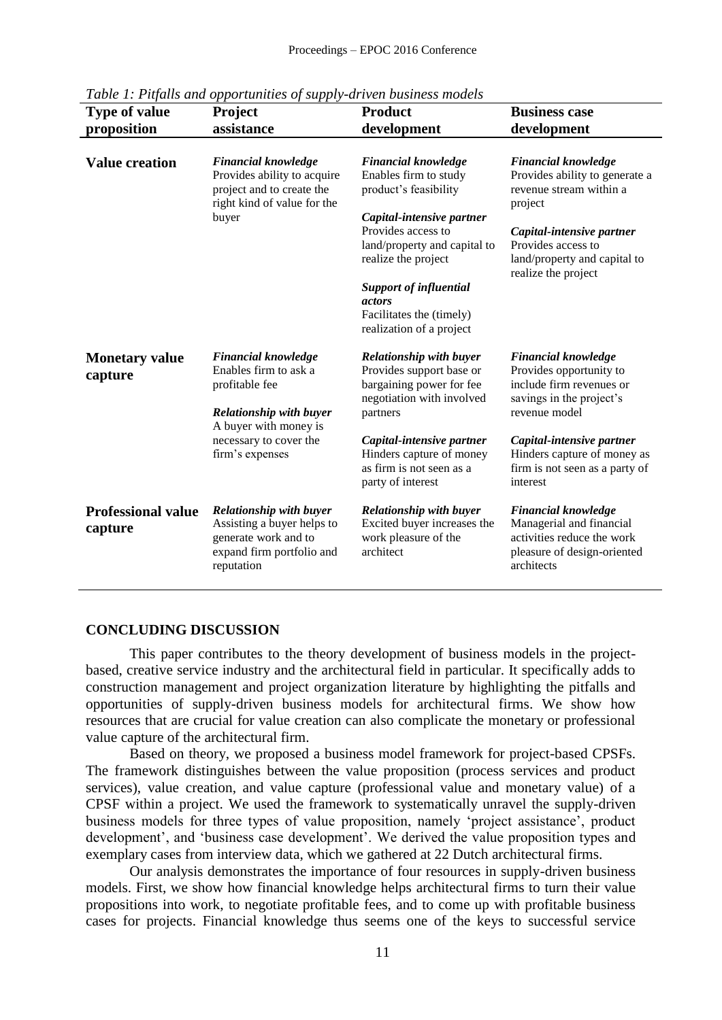| <b>Type of value</b>             | <b>Project</b>                                           | <b>Product</b>                 | <b>Business case</b>                                |
|----------------------------------|----------------------------------------------------------|--------------------------------|-----------------------------------------------------|
| proposition                      | assistance                                               | development                    | development                                         |
|                                  |                                                          |                                |                                                     |
| <b>Value creation</b>            | <b>Financial knowledge</b>                               | <b>Financial knowledge</b>     | <b>Financial knowledge</b>                          |
|                                  | Provides ability to acquire                              | Enables firm to study          | Provides ability to generate a                      |
|                                  | project and to create the<br>right kind of value for the | product's feasibility          | revenue stream within a<br>project                  |
|                                  | buyer                                                    | Capital-intensive partner      |                                                     |
|                                  |                                                          | Provides access to             | Capital-intensive partner                           |
|                                  |                                                          | land/property and capital to   | Provides access to                                  |
|                                  |                                                          | realize the project            | land/property and capital to<br>realize the project |
|                                  |                                                          | <b>Support of influential</b>  |                                                     |
|                                  |                                                          | <i>actors</i>                  |                                                     |
|                                  |                                                          | Facilitates the (timely)       |                                                     |
|                                  |                                                          | realization of a project       |                                                     |
| <b>Monetary value</b><br>capture | <b>Financial knowledge</b>                               | <b>Relationship with buyer</b> | <b>Financial knowledge</b>                          |
|                                  | Enables firm to ask a                                    | Provides support base or       | Provides opportunity to                             |
|                                  | profitable fee                                           | bargaining power for fee       | include firm revenues or                            |
|                                  |                                                          | negotiation with involved      | savings in the project's                            |
|                                  | <b>Relationship with buyer</b>                           | partners                       | revenue model                                       |
|                                  | A buyer with money is                                    |                                |                                                     |
|                                  | necessary to cover the                                   | Capital-intensive partner      | Capital-intensive partner                           |
|                                  | firm's expenses                                          | Hinders capture of money       | Hinders capture of money as                         |
|                                  |                                                          | as firm is not seen as a       | firm is not seen as a party of                      |
|                                  |                                                          | party of interest              | interest                                            |
| <b>Professional value</b>        | Relationship with buyer                                  | <b>Relationship with buyer</b> | <b>Financial knowledge</b>                          |
| capture                          | Assisting a buyer helps to                               | Excited buyer increases the    | Managerial and financial                            |
|                                  | generate work and to                                     | work pleasure of the           | activities reduce the work                          |
|                                  | expand firm portfolio and                                | architect                      | pleasure of design-oriented                         |
|                                  | reputation                                               |                                | architects                                          |
|                                  |                                                          |                                |                                                     |
|                                  |                                                          |                                |                                                     |

*Table 1: Pitfalls and opportunities of supply-driven business models* 

#### **CONCLUDING DISCUSSION**

This paper contributes to the theory development of business models in the projectbased, creative service industry and the architectural field in particular. It specifically adds to construction management and project organization literature by highlighting the pitfalls and opportunities of supply-driven business models for architectural firms. We show how resources that are crucial for value creation can also complicate the monetary or professional value capture of the architectural firm.

Based on theory, we proposed a business model framework for project-based CPSFs. The framework distinguishes between the value proposition (process services and product services), value creation, and value capture (professional value and monetary value) of a CPSF within a project. We used the framework to systematically unravel the supply-driven business models for three types of value proposition, namely 'project assistance', product development', and 'business case development'. We derived the value proposition types and exemplary cases from interview data, which we gathered at 22 Dutch architectural firms.

Our analysis demonstrates the importance of four resources in supply-driven business models. First, we show how financial knowledge helps architectural firms to turn their value propositions into work, to negotiate profitable fees, and to come up with profitable business cases for projects. Financial knowledge thus seems one of the keys to successful service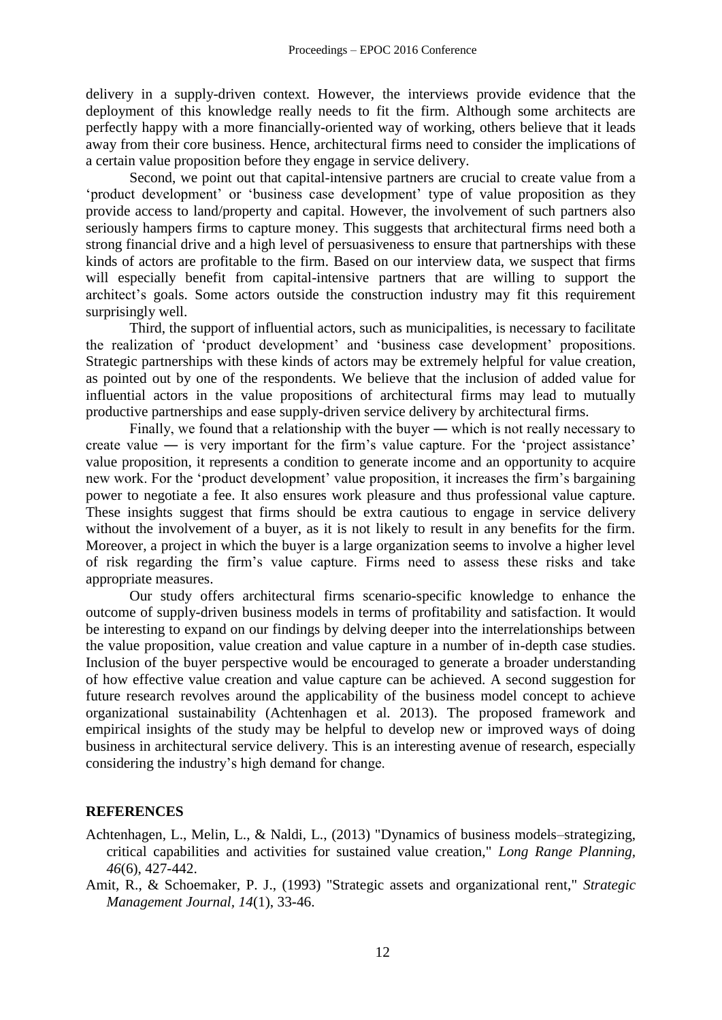delivery in a supply-driven context. However, the interviews provide evidence that the deployment of this knowledge really needs to fit the firm. Although some architects are perfectly happy with a more financially-oriented way of working, others believe that it leads away from their core business. Hence, architectural firms need to consider the implications of a certain value proposition before they engage in service delivery.

Second, we point out that capital-intensive partners are crucial to create value from a 'product development' or 'business case development' type of value proposition as they provide access to land/property and capital. However, the involvement of such partners also seriously hampers firms to capture money. This suggests that architectural firms need both a strong financial drive and a high level of persuasiveness to ensure that partnerships with these kinds of actors are profitable to the firm. Based on our interview data, we suspect that firms will especially benefit from capital-intensive partners that are willing to support the architect's goals. Some actors outside the construction industry may fit this requirement surprisingly well.

Third, the support of influential actors, such as municipalities, is necessary to facilitate the realization of 'product development' and 'business case development' propositions. Strategic partnerships with these kinds of actors may be extremely helpful for value creation, as pointed out by one of the respondents. We believe that the inclusion of added value for influential actors in the value propositions of architectural firms may lead to mutually productive partnerships and ease supply-driven service delivery by architectural firms.

Finally, we found that a relationship with the buyer — which is not really necessary to create value ― is very important for the firm's value capture. For the 'project assistance' value proposition, it represents a condition to generate income and an opportunity to acquire new work. For the 'product development' value proposition, it increases the firm's bargaining power to negotiate a fee. It also ensures work pleasure and thus professional value capture. These insights suggest that firms should be extra cautious to engage in service delivery without the involvement of a buyer, as it is not likely to result in any benefits for the firm. Moreover, a project in which the buyer is a large organization seems to involve a higher level of risk regarding the firm's value capture. Firms need to assess these risks and take appropriate measures.

Our study offers architectural firms scenario-specific knowledge to enhance the outcome of supply-driven business models in terms of profitability and satisfaction. It would be interesting to expand on our findings by delving deeper into the interrelationships between the value proposition, value creation and value capture in a number of in-depth case studies. Inclusion of the buyer perspective would be encouraged to generate a broader understanding of how effective value creation and value capture can be achieved. A second suggestion for future research revolves around the applicability of the business model concept to achieve organizational sustainability (Achtenhagen et al. 2013). The proposed framework and empirical insights of the study may be helpful to develop new or improved ways of doing business in architectural service delivery. This is an interesting avenue of research, especially considering the industry's high demand for change.

# **REFERENCES**

- Achtenhagen, L., Melin, L., & Naldi, L., (2013) "Dynamics of business models–strategizing, critical capabilities and activities for sustained value creation," *Long Range Planning, 46*(6), 427-442.
- Amit, R., & Schoemaker, P. J., (1993) "Strategic assets and organizational rent," *Strategic Management Journal, 14*(1), 33-46.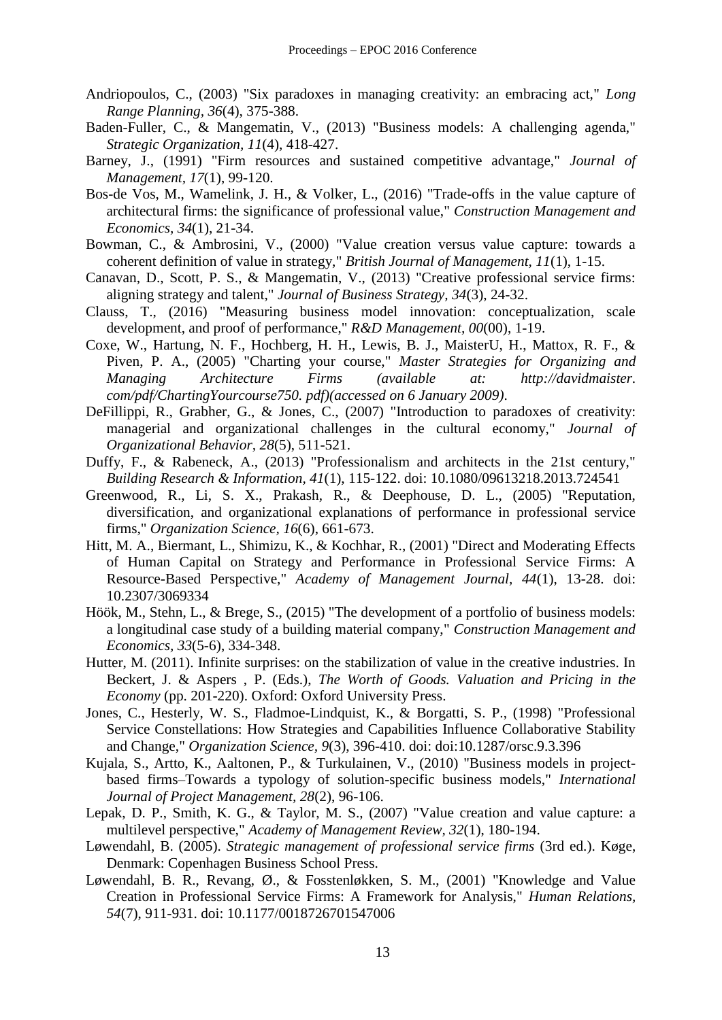- Andriopoulos, C., (2003) "Six paradoxes in managing creativity: an embracing act," *Long Range Planning, 36*(4), 375-388.
- Baden-Fuller, C., & Mangematin, V., (2013) "Business models: A challenging agenda," *Strategic Organization, 11*(4), 418-427.
- Barney, J., (1991) "Firm resources and sustained competitive advantage," *Journal of Management, 17*(1), 99-120.
- Bos-de Vos, M., Wamelink, J. H., & Volker, L., (2016) "Trade-offs in the value capture of architectural firms: the significance of professional value," *Construction Management and Economics, 34*(1), 21-34.
- Bowman, C., & Ambrosini, V., (2000) "Value creation versus value capture: towards a coherent definition of value in strategy," *British Journal of Management, 11*(1), 1-15.
- Canavan, D., Scott, P. S., & Mangematin, V., (2013) "Creative professional service firms: aligning strategy and talent," *Journal of Business Strategy, 34*(3), 24-32.
- Clauss, T., (2016) "Measuring business model innovation: conceptualization, scale development, and proof of performance," *R&D Management, 00*(00), 1-19.
- Coxe, W., Hartung, N. F., Hochberg, H. H., Lewis, B. J., MaisterU, H., Mattox, R. F., & Piven, P. A., (2005) "Charting your course," *Master Strategies for Organizing and Managing Architecture Firms (available at: http://davidmaister. com/pdf/ChartingYourcourse750. pdf)(accessed on 6 January 2009)*.
- DeFillippi, R., Grabher, G., & Jones, C., (2007) "Introduction to paradoxes of creativity: managerial and organizational challenges in the cultural economy," *Journal of Organizational Behavior, 28*(5), 511-521.
- Duffy, F., & Rabeneck, A., (2013) "Professionalism and architects in the 21st century," *Building Research & Information, 41*(1), 115-122. doi: 10.1080/09613218.2013.724541
- Greenwood, R., Li, S. X., Prakash, R., & Deephouse, D. L., (2005) "Reputation, diversification, and organizational explanations of performance in professional service firms," *Organization Science, 16*(6), 661-673.
- Hitt, M. A., Biermant, L., Shimizu, K., & Kochhar, R., (2001) "Direct and Moderating Effects of Human Capital on Strategy and Performance in Professional Service Firms: A Resource-Based Perspective," *Academy of Management Journal, 44*(1), 13-28. doi: 10.2307/3069334
- Höök, M., Stehn, L., & Brege, S., (2015) "The development of a portfolio of business models: a longitudinal case study of a building material company," *Construction Management and Economics, 33*(5-6), 334-348.
- Hutter, M. (2011). Infinite surprises: on the stabilization of value in the creative industries. In Beckert, J. & Aspers , P. (Eds.), *The Worth of Goods. Valuation and Pricing in the Economy* (pp. 201-220). Oxford: Oxford University Press.
- Jones, C., Hesterly, W. S., Fladmoe-Lindquist, K., & Borgatti, S. P., (1998) "Professional Service Constellations: How Strategies and Capabilities Influence Collaborative Stability and Change," *Organization Science, 9*(3), 396-410. doi: doi:10.1287/orsc.9.3.396
- Kujala, S., Artto, K., Aaltonen, P., & Turkulainen, V., (2010) "Business models in projectbased firms–Towards a typology of solution-specific business models," *International Journal of Project Management, 28*(2), 96-106.
- Lepak, D. P., Smith, K. G., & Taylor, M. S., (2007) "Value creation and value capture: a multilevel perspective," *Academy of Management Review, 32*(1), 180-194.
- Løwendahl, B. (2005). *Strategic management of professional service firms* (3rd ed.). Køge, Denmark: Copenhagen Business School Press.
- Løwendahl, B. R., Revang, Ø., & Fosstenløkken, S. M., (2001) "Knowledge and Value Creation in Professional Service Firms: A Framework for Analysis," *Human Relations, 54*(7), 911-931. doi: 10.1177/0018726701547006